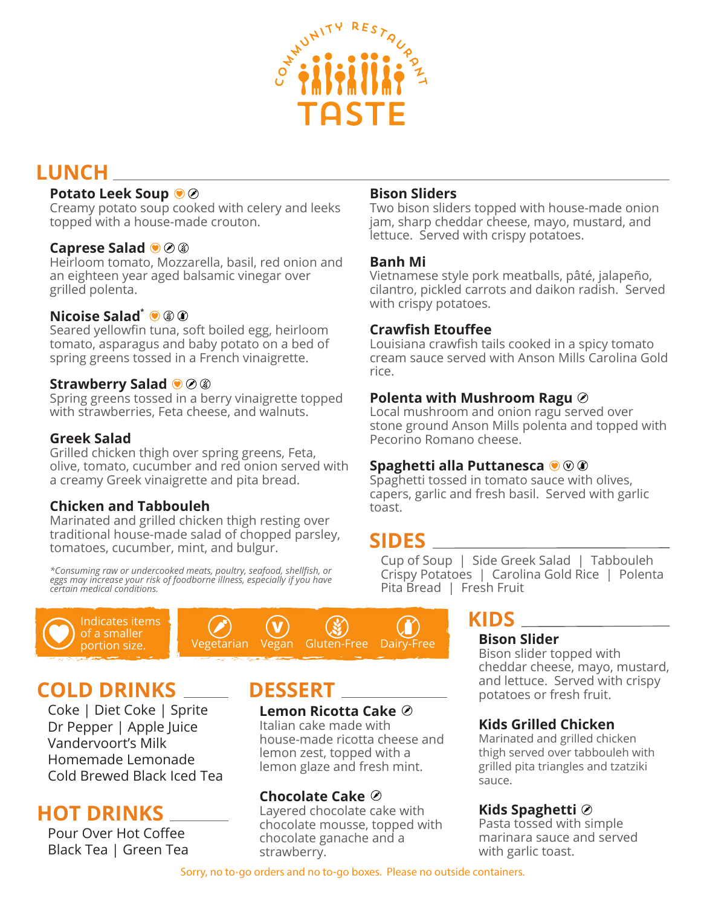

# **LUNCH**

### **Potato Leek Soup**

Creamy potato soup cooked with celery and leeks topped with a house-made crouton.

#### **Caprese Salad**

Heirloom tomato, Mozzarella, basil, red onion and an eighteen year aged balsamic vinegar over grilled polenta.

#### **Nicoise Salad\***

Seared yellowfin tuna, soft boiled egg, heirloom tomato, asparagus and baby potato on a bed of spring greens tossed in a French vinaigrette.

#### **Strawberry Salad**

Spring greens tossed in a berry vinaigrette topped with strawberries, Feta cheese, and walnuts.

#### **Greek Salad**

Grilled chicken thigh over spring greens, Feta, olive, tomato, cucumber and red onion served with a creamy Greek vinaigrette and pita bread.

## **Chicken and Tabbouleh**

Marinated and grilled chicken thigh resting over traditional house-made salad of chopped parsley, tomatoes, cucumber, mint, and bulgur.

*\*Consuming raw or undercooked meats, poultry, seafood, shellfish, or eggs may increase your risk of foodborne illness, especially if you have certain medical conditions.* 





# **COLD DRINKS**

Coke | Diet Coke | Sprite Dr Pepper | Apple Juice Vandervoort's Milk Homemade Lemonade Cold Brewed Black Iced Tea

# **HOT DRINKS**

Pour Over Hot Coffee Black Tea | Green Tea

# **DESSERT**

**Lemon Ricotta Cake** 

Italian cake made with house-made ricotta cheese and lemon zest, topped with a lemon glaze and fresh mint.

## **Chocolate Cake**

Layered chocolate cake with chocolate mousse, topped with chocolate ganache and a strawberry.

#### **Bison Sliders**

Two bison sliders topped with house-made onion jam, sharp cheddar cheese, mayo, mustard, and lettuce. Served with crispy potatoes.

#### **Banh Mi**

Vietnamese style pork meatballs, pâté, jalapeño, cilantro, pickled carrots and daikon radish. Served with crispy potatoes.

#### **Crawfish Etouffee**

Louisiana crawfish tails cooked in a spicy tomato cream sauce served with Anson Mills Carolina Gold rice.

#### **Polenta with Mushroom Ragu**

Local mushroom and onion ragu served over stone ground Anson Mills polenta and topped with Pecorino Romano cheese.

#### **Spaghetti alla Puttanesca**

Spaghetti tossed in tomato sauce with olives, capers, garlic and fresh basil. Served with garlic toast.

# **SIDES**

Cup of Soup | Side Greek Salad | Tabbouleh Crispy Potatoes | Carolina Gold Rice | Polenta Pita Bread | Fresh Fruit

# **KIDS**

#### **Bison Slider**

Bison slider topped with cheddar cheese, mayo, mustard, and lettuce. Served with crispy potatoes or fresh fruit.

## **Kids Grilled Chicken**

Marinated and grilled chicken thigh served over tabbouleh with grilled pita triangles and tzatziki sauce.

## **Kids Spaghetti**

Pasta tossed with simple marinara sauce and served with garlic toast.

Sorry, no to-go orders and no to-go boxes. Please no outside containers.